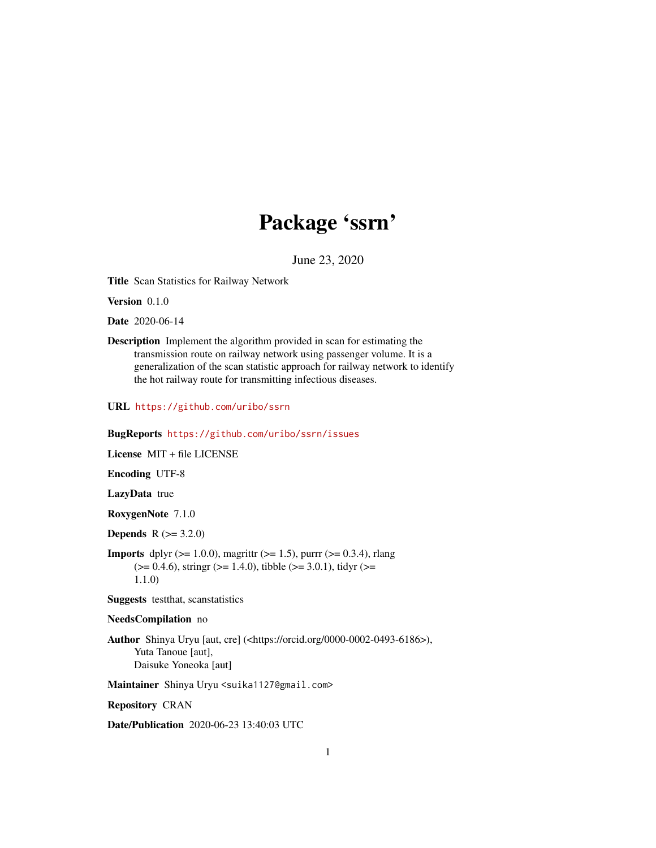## Package 'ssrn'

June 23, 2020

<span id="page-0-0"></span>Title Scan Statistics for Railway Network

Version 0.1.0

Date 2020-06-14

Description Implement the algorithm provided in scan for estimating the transmission route on railway network using passenger volume. It is a generalization of the scan statistic approach for railway network to identify the hot railway route for transmitting infectious diseases.

URL <https://github.com/uribo/ssrn>

#### BugReports <https://github.com/uribo/ssrn/issues>

License MIT + file LICENSE

Encoding UTF-8

LazyData true

RoxygenNote 7.1.0

**Depends**  $R (= 3.2.0)$ 

**Imports** dplyr ( $>= 1.0.0$ ), magrittr ( $>= 1.5$ ), purrr ( $>= 0.3.4$ ), rlang  $(>= 0.4.6)$ , stringr  $(>= 1.4.0)$ , tibble  $(>= 3.0.1)$ , tidyr  $(>= 1.4.0)$ 1.1.0)

Suggests testthat, scanstatistics

#### NeedsCompilation no

Author Shinya Uryu [aut, cre] (<https://orcid.org/0000-0002-0493-6186>), Yuta Tanoue [aut], Daisuke Yoneoka [aut]

Maintainer Shinya Uryu <suika1127@gmail.com>

Repository CRAN

Date/Publication 2020-06-23 13:40:03 UTC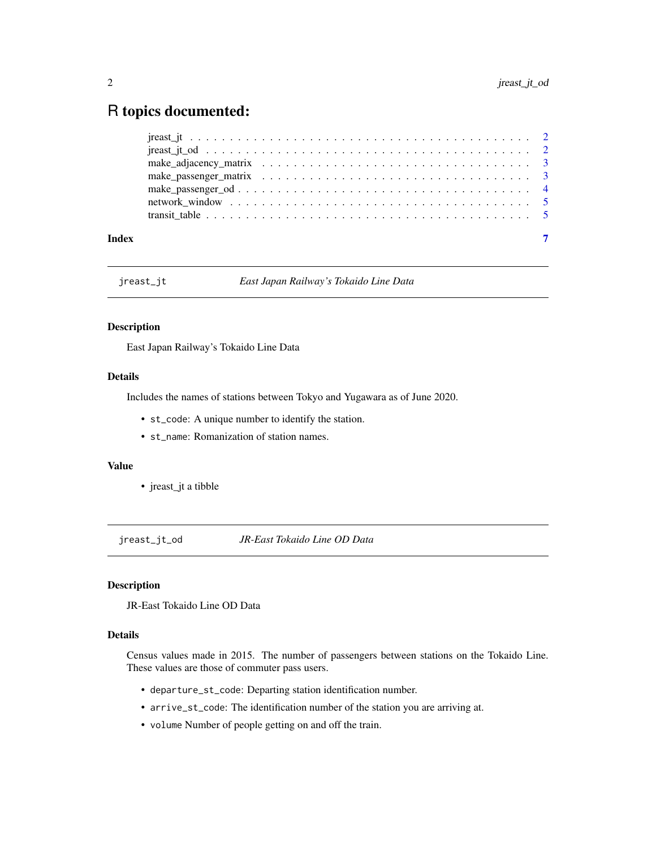### <span id="page-1-0"></span>R topics documented:

| Index |  |  |  |  |  |  |  |  |  |  |  |  |  |  |  |  |  |
|-------|--|--|--|--|--|--|--|--|--|--|--|--|--|--|--|--|--|

jreast\_jt *East Japan Railway's Tokaido Line Data*

#### Description

East Japan Railway's Tokaido Line Data

#### Details

Includes the names of stations between Tokyo and Yugawara as of June 2020.

- st\_code: A unique number to identify the station.
- st\_name: Romanization of station names.

#### Value

• jreast\_jt a tibble

jreast\_jt\_od *JR-East Tokaido Line OD Data*

#### Description

JR-East Tokaido Line OD Data

#### Details

Census values made in 2015. The number of passengers between stations on the Tokaido Line. These values are those of commuter pass users.

- departure\_st\_code: Departing station identification number.
- arrive\_st\_code: The identification number of the station you are arriving at.
- volume Number of people getting on and off the train.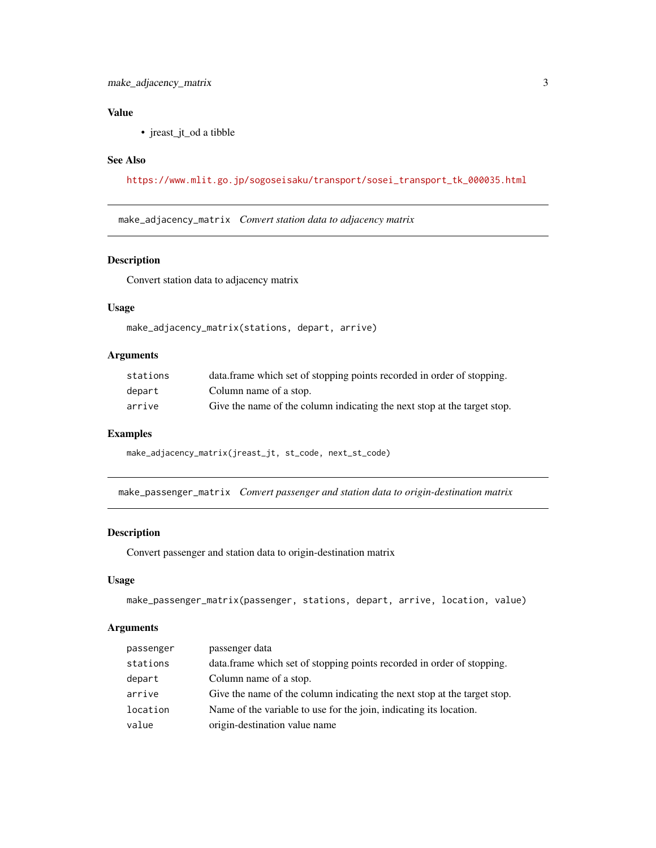#### <span id="page-2-0"></span>Value

• jreast\_jt\_od a tibble

#### See Also

[https://www.mlit.go.jp/sogoseisaku/transport/sosei\\_transport\\_tk\\_000035.html](https://www.mlit.go.jp/sogoseisaku/transport/sosei_transport_tk_000035.html)

make\_adjacency\_matrix *Convert station data to adjacency matrix*

#### Description

Convert station data to adjacency matrix

#### Usage

```
make_adjacency_matrix(stations, depart, arrive)
```
#### Arguments

| stations | data frame which set of stopping points recorded in order of stopping.   |
|----------|--------------------------------------------------------------------------|
| depart   | Column name of a stop.                                                   |
| arrive   | Give the name of the column indicating the next stop at the target stop. |

#### Examples

```
make_adjacency_matrix(jreast_jt, st_code, next_st_code)
```
make\_passenger\_matrix *Convert passenger and station data to origin-destination matrix*

#### Description

Convert passenger and station data to origin-destination matrix

#### Usage

```
make_passenger_matrix(passenger, stations, depart, arrive, location, value)
```
#### Arguments

| passenger | passenger data                                                           |
|-----------|--------------------------------------------------------------------------|
| stations  | data.frame which set of stopping points recorded in order of stopping.   |
| depart    | Column name of a stop.                                                   |
| arrive    | Give the name of the column indicating the next stop at the target stop. |
| location  | Name of the variable to use for the join, indicating its location.       |
| value     | origin-destination value name                                            |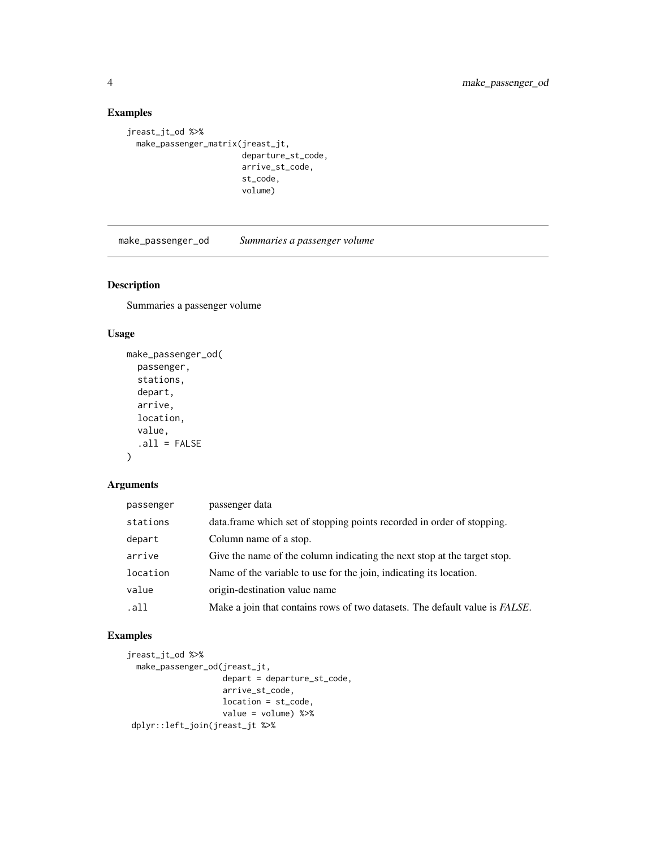#### Examples

```
jreast_jt_od %>%
  make_passenger_matrix(jreast_jt,
                        departure_st_code,
                        arrive_st_code,
                        st_code,
                        volume)
```
make\_passenger\_od *Summaries a passenger volume*

#### Description

Summaries a passenger volume

#### Usage

```
make_passenger_od(
 passenger,
  stations,
 depart,
  arrive,
  location,
 value,
  .all = FALSE
```
 $\mathcal{L}$ 

#### Arguments

| passenger | passenger data                                                                      |
|-----------|-------------------------------------------------------------------------------------|
| stations  | data. frame which set of stopping points recorded in order of stopping.             |
| depart    | Column name of a stop.                                                              |
| arrive    | Give the name of the column indicating the next stop at the target stop.            |
| location  | Name of the variable to use for the join, indicating its location.                  |
| value     | origin-destination value name                                                       |
| .all      | Make a join that contains rows of two datasets. The default value is <i>FALSE</i> . |

#### Examples

```
jreast_jt_od %>%
 make_passenger_od(jreast_jt,
                   depart = departure_st_code,
                    arrive_st_code,
                   location = st_code,
                   value = volume) %>%
dplyr::left_join(jreast_jt %>%
```
<span id="page-3-0"></span>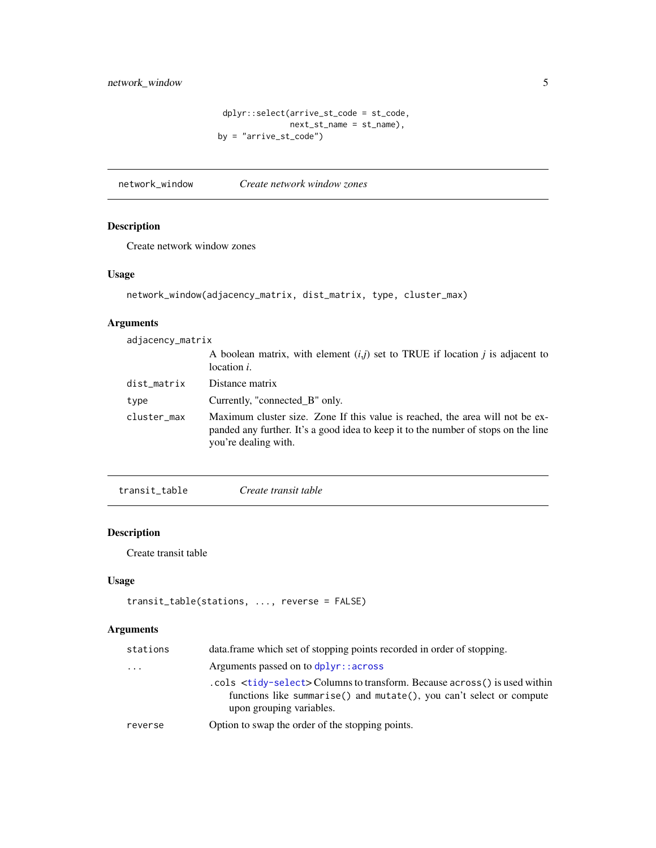```
dplyr::select(arrive_st_code = st_code,
               next_st_name = st_name),
by = "arrive_st_code")
```
<span id="page-4-0"></span>network\_window *Create network window zones*

#### Description

Create network window zones

#### Usage

```
network_window(adjacency_matrix, dist_matrix, type, cluster_max)
```
#### Arguments

| adjacency_matrix |                                                                                                                                                                                             |
|------------------|---------------------------------------------------------------------------------------------------------------------------------------------------------------------------------------------|
|                  | A boolean matrix, with element $(i,j)$ set to TRUE if location j is adjacent to<br>location <i>i</i> .                                                                                      |
| dist_matrix      | Distance matrix                                                                                                                                                                             |
| type             | Currently, "connected_B" only.                                                                                                                                                              |
| cluster_max      | Maximum cluster size. Zone If this value is reached, the area will not be ex-<br>panded any further. It's a good idea to keep it to the number of stops on the line<br>you're dealing with. |

transit\_table *Create transit table*

#### Description

Create transit table

#### Usage

```
transit_table(stations, ..., reverse = FALSE)
```
#### Arguments

| stations | data.frame which set of stopping points recorded in order of stopping.                                                                                                                        |
|----------|-----------------------------------------------------------------------------------------------------------------------------------------------------------------------------------------------|
| $\cdots$ | Arguments passed on to $d$ $p$ lyr: : across                                                                                                                                                  |
|          | .cols <tidy-select> Columns to transform. Because across() is used within<br/>functions like summarise() and mutate(), you can't select or compute<br/>upon grouping variables.</tidy-select> |
| reverse  | Option to swap the order of the stopping points.                                                                                                                                              |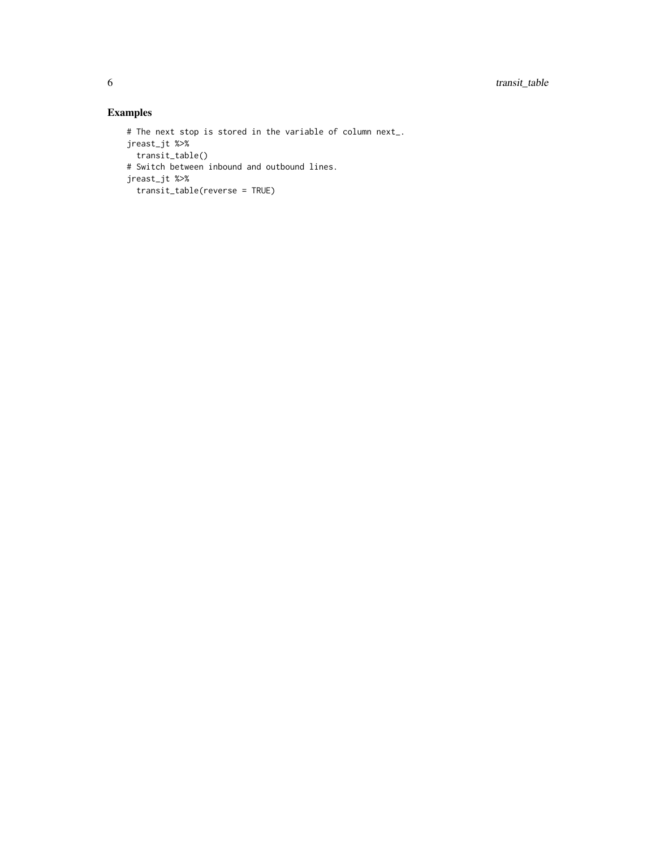#### Examples

```
# The next stop is stored in the variable of column next_.
jreast_jt %>%
 transit_table()
# Switch between inbound and outbound lines.
jreast_jt %>%
 transit_table(reverse = TRUE)
```